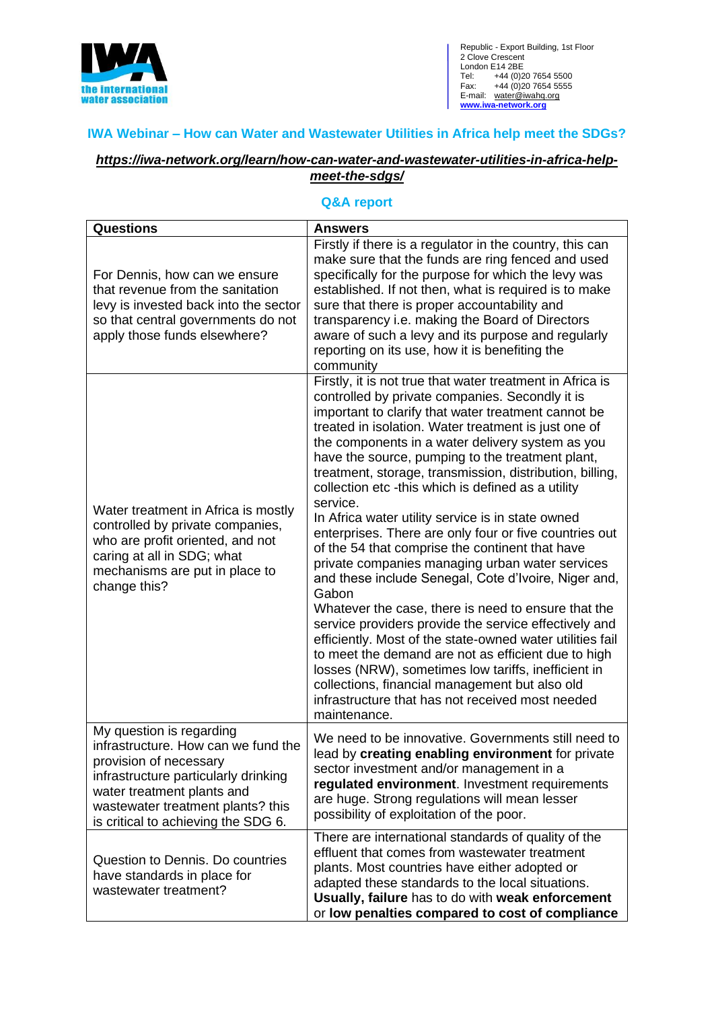

Republic - Export Building, 1st Floor 2 Clove Crescent London E14 2BE Tel: +44 (0)20 7654 5500 Fax: +44 (0)20 7654 5555 E-mail: water@iwahq.org **[www.iwa-network.org](http://www.iwa-network.org/)**

## **IWA Webinar – How can Water and Wastewater Utilities in Africa help meet the SDGs?**

## *[https://iwa-network.org/learn/how-can-water-and-wastewater-utilities-in-africa-help](https://iwa-network.org/learn/how-can-water-and-wastewater-utilities-in-africa-help-meet-the-sdgs/)[meet-the-sdgs/](https://iwa-network.org/learn/how-can-water-and-wastewater-utilities-in-africa-help-meet-the-sdgs/)*

## **Q&A report**

| <b>Questions</b>                                                                                                                                                                                                                            | <b>Answers</b>                                                                                                                                                                                                                                                                                                                                                                                                                                                                                                                                                                                                                                                                                                                                                                                                                                                                                                                                                                                                                                                                                                                                                           |
|---------------------------------------------------------------------------------------------------------------------------------------------------------------------------------------------------------------------------------------------|--------------------------------------------------------------------------------------------------------------------------------------------------------------------------------------------------------------------------------------------------------------------------------------------------------------------------------------------------------------------------------------------------------------------------------------------------------------------------------------------------------------------------------------------------------------------------------------------------------------------------------------------------------------------------------------------------------------------------------------------------------------------------------------------------------------------------------------------------------------------------------------------------------------------------------------------------------------------------------------------------------------------------------------------------------------------------------------------------------------------------------------------------------------------------|
| For Dennis, how can we ensure<br>that revenue from the sanitation<br>levy is invested back into the sector<br>so that central governments do not<br>apply those funds elsewhere?                                                            | Firstly if there is a regulator in the country, this can<br>make sure that the funds are ring fenced and used<br>specifically for the purpose for which the levy was<br>established. If not then, what is required is to make<br>sure that there is proper accountability and<br>transparency i.e. making the Board of Directors<br>aware of such a levy and its purpose and regularly<br>reporting on its use, how it is benefiting the<br>community                                                                                                                                                                                                                                                                                                                                                                                                                                                                                                                                                                                                                                                                                                                    |
| Water treatment in Africa is mostly<br>controlled by private companies,<br>who are profit oriented, and not<br>caring at all in SDG; what<br>mechanisms are put in place to<br>change this?                                                 | Firstly, it is not true that water treatment in Africa is<br>controlled by private companies. Secondly it is<br>important to clarify that water treatment cannot be<br>treated in isolation. Water treatment is just one of<br>the components in a water delivery system as you<br>have the source, pumping to the treatment plant,<br>treatment, storage, transmission, distribution, billing,<br>collection etc -this which is defined as a utility<br>service.<br>In Africa water utility service is in state owned<br>enterprises. There are only four or five countries out<br>of the 54 that comprise the continent that have<br>private companies managing urban water services<br>and these include Senegal, Cote d'Ivoire, Niger and,<br>Gabon<br>Whatever the case, there is need to ensure that the<br>service providers provide the service effectively and<br>efficiently. Most of the state-owned water utilities fail<br>to meet the demand are not as efficient due to high<br>losses (NRW), sometimes low tariffs, inefficient in<br>collections, financial management but also old<br>infrastructure that has not received most needed<br>maintenance. |
| My question is regarding<br>infrastructure. How can we fund the<br>provision of necessary<br>infrastructure particularly drinking<br>water treatment plants and<br>wastewater treatment plants? this<br>is critical to achieving the SDG 6. | We need to be innovative. Governments still need to<br>lead by creating enabling environment for private<br>sector investment and/or management in a<br>regulated environment. Investment requirements<br>are huge. Strong regulations will mean lesser<br>possibility of exploitation of the poor.                                                                                                                                                                                                                                                                                                                                                                                                                                                                                                                                                                                                                                                                                                                                                                                                                                                                      |
| Question to Dennis. Do countries<br>have standards in place for<br>wastewater treatment?                                                                                                                                                    | There are international standards of quality of the<br>effluent that comes from wastewater treatment<br>plants. Most countries have either adopted or<br>adapted these standards to the local situations.<br>Usually, failure has to do with weak enforcement<br>or low penalties compared to cost of compliance                                                                                                                                                                                                                                                                                                                                                                                                                                                                                                                                                                                                                                                                                                                                                                                                                                                         |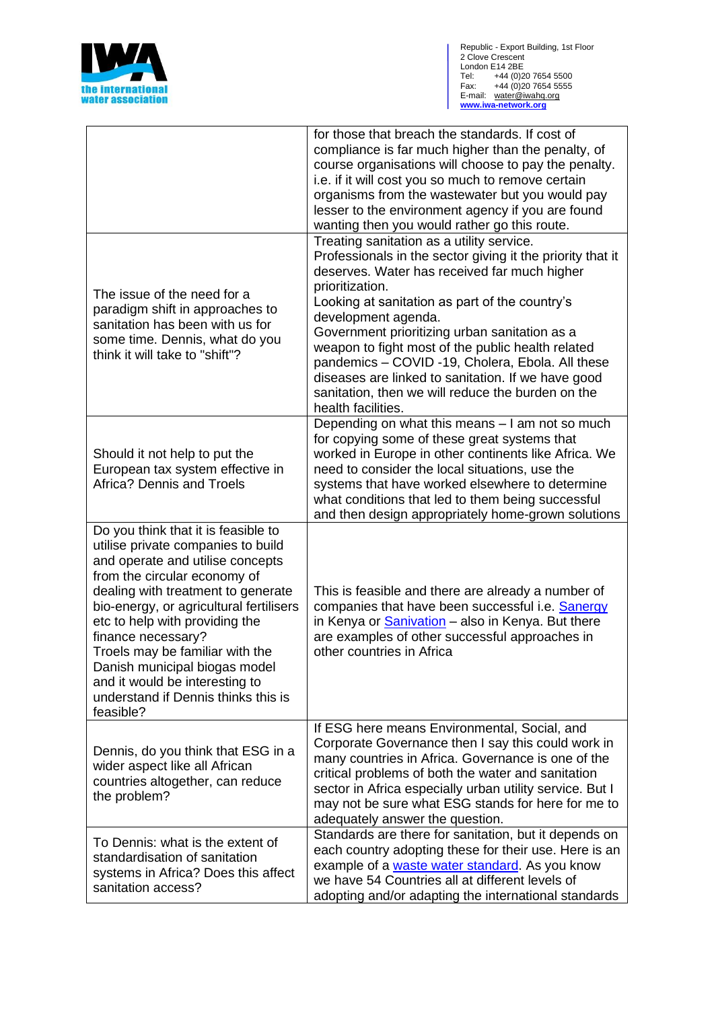

|                                                                                                                                                                                                                                                                                                                                                                                                                                                  | for those that breach the standards. If cost of<br>compliance is far much higher than the penalty, of<br>course organisations will choose to pay the penalty.<br>i.e. if it will cost you so much to remove certain<br>organisms from the wastewater but you would pay<br>lesser to the environment agency if you are found<br>wanting then you would rather go this route.                                                                                                                                                                    |
|--------------------------------------------------------------------------------------------------------------------------------------------------------------------------------------------------------------------------------------------------------------------------------------------------------------------------------------------------------------------------------------------------------------------------------------------------|------------------------------------------------------------------------------------------------------------------------------------------------------------------------------------------------------------------------------------------------------------------------------------------------------------------------------------------------------------------------------------------------------------------------------------------------------------------------------------------------------------------------------------------------|
| The issue of the need for a<br>paradigm shift in approaches to<br>sanitation has been with us for<br>some time. Dennis, what do you<br>think it will take to "shift"?                                                                                                                                                                                                                                                                            | Treating sanitation as a utility service.<br>Professionals in the sector giving it the priority that it<br>deserves. Water has received far much higher<br>prioritization.<br>Looking at sanitation as part of the country's<br>development agenda.<br>Government prioritizing urban sanitation as a<br>weapon to fight most of the public health related<br>pandemics - COVID -19, Cholera, Ebola. All these<br>diseases are linked to sanitation. If we have good<br>sanitation, then we will reduce the burden on the<br>health facilities. |
| Should it not help to put the<br>European tax system effective in<br><b>Africa? Dennis and Troels</b>                                                                                                                                                                                                                                                                                                                                            | Depending on what this means - I am not so much<br>for copying some of these great systems that<br>worked in Europe in other continents like Africa. We<br>need to consider the local situations, use the<br>systems that have worked elsewhere to determine<br>what conditions that led to them being successful<br>and then design appropriately home-grown solutions                                                                                                                                                                        |
| Do you think that it is feasible to<br>utilise private companies to build<br>and operate and utilise concepts<br>from the circular economy of<br>dealing with treatment to generate<br>bio-energy, or agricultural fertilisers<br>etc to help with providing the<br>finance necessary?<br>Troels may be familiar with the<br>Danish municipal biogas model<br>and it would be interesting to<br>understand if Dennis thinks this is<br>feasible? | This is feasible and there are already a number of<br>companies that have been successful i.e. Sanergy<br>in Kenya or <b>Sanivation</b> - also in Kenya. But there<br>are examples of other successful approaches in<br>other countries in Africa                                                                                                                                                                                                                                                                                              |
| Dennis, do you think that ESG in a<br>wider aspect like all African<br>countries altogether, can reduce<br>the problem?                                                                                                                                                                                                                                                                                                                          | If ESG here means Environmental, Social, and<br>Corporate Governance then I say this could work in<br>many countries in Africa. Governance is one of the<br>critical problems of both the water and sanitation<br>sector in Africa especially urban utility service. But I<br>may not be sure what ESG stands for here for me to<br>adequately answer the question.                                                                                                                                                                            |
| To Dennis: what is the extent of<br>standardisation of sanitation<br>systems in Africa? Does this affect<br>sanitation access?                                                                                                                                                                                                                                                                                                                   | Standards are there for sanitation, but it depends on<br>each country adopting these for their use. Here is an<br>example of a waste water standard. As you know<br>we have 54 Countries all at different levels of<br>adopting and/or adapting the international standards                                                                                                                                                                                                                                                                    |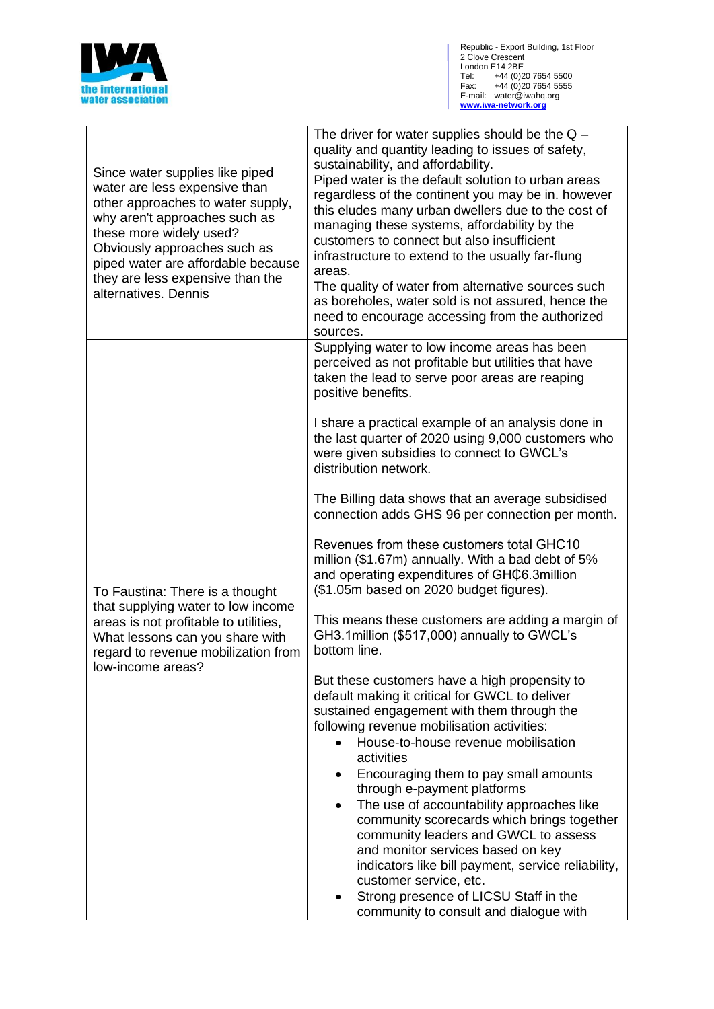

| Supplying water to low income areas has been<br>perceived as not profitable but utilities that have<br>taken the lead to serve poor areas are reaping<br>positive benefits.<br>I share a practical example of an analysis done in<br>the last quarter of 2020 using 9,000 customers who<br>were given subsidies to connect to GWCL's<br>distribution network.<br>The Billing data shows that an average subsidised<br>connection adds GHS 96 per connection per month. | Since water supplies like piped<br>water are less expensive than<br>other approaches to water supply,<br>why aren't approaches such as<br>these more widely used?<br>Obviously approaches such as<br>piped water are affordable because<br>they are less expensive than the<br>alternatives. Dennis | The driver for water supplies should be the $Q -$<br>quality and quantity leading to issues of safety,<br>sustainability, and affordability.<br>Piped water is the default solution to urban areas<br>regardless of the continent you may be in. however<br>this eludes many urban dwellers due to the cost of<br>managing these systems, affordability by the<br>customers to connect but also insufficient<br>infrastructure to extend to the usually far-flung<br>areas.<br>The quality of water from alternative sources such<br>as boreholes, water sold is not assured, hence the<br>need to encourage accessing from the authorized<br>sources. |
|------------------------------------------------------------------------------------------------------------------------------------------------------------------------------------------------------------------------------------------------------------------------------------------------------------------------------------------------------------------------------------------------------------------------------------------------------------------------|-----------------------------------------------------------------------------------------------------------------------------------------------------------------------------------------------------------------------------------------------------------------------------------------------------|--------------------------------------------------------------------------------------------------------------------------------------------------------------------------------------------------------------------------------------------------------------------------------------------------------------------------------------------------------------------------------------------------------------------------------------------------------------------------------------------------------------------------------------------------------------------------------------------------------------------------------------------------------|
|                                                                                                                                                                                                                                                                                                                                                                                                                                                                        | To Faustina: There is a thought<br>that supplying water to low income<br>areas is not profitable to utilities,<br>What lessons can you share with<br>regard to revenue mobilization from<br>low-income areas?                                                                                       |                                                                                                                                                                                                                                                                                                                                                                                                                                                                                                                                                                                                                                                        |
|                                                                                                                                                                                                                                                                                                                                                                                                                                                                        |                                                                                                                                                                                                                                                                                                     |                                                                                                                                                                                                                                                                                                                                                                                                                                                                                                                                                                                                                                                        |
|                                                                                                                                                                                                                                                                                                                                                                                                                                                                        |                                                                                                                                                                                                                                                                                                     |                                                                                                                                                                                                                                                                                                                                                                                                                                                                                                                                                                                                                                                        |
|                                                                                                                                                                                                                                                                                                                                                                                                                                                                        |                                                                                                                                                                                                                                                                                                     | This means these customers are adding a margin of<br>GH3.1 million (\$517,000) annually to GWCL's<br>bottom line.                                                                                                                                                                                                                                                                                                                                                                                                                                                                                                                                      |
|                                                                                                                                                                                                                                                                                                                                                                                                                                                                        |                                                                                                                                                                                                                                                                                                     | But these customers have a high propensity to<br>default making it critical for GWCL to deliver<br>sustained engagement with them through the<br>following revenue mobilisation activities:<br>House-to-house revenue mobilisation<br>activities<br>Encouraging them to pay small amounts<br>٠<br>through e-payment platforms<br>The use of accountability approaches like<br>$\bullet$<br>community scorecards which brings together<br>community leaders and GWCL to assess<br>and monitor services based on key<br>indicators like bill payment, service reliability,                                                                               |
|                                                                                                                                                                                                                                                                                                                                                                                                                                                                        |                                                                                                                                                                                                                                                                                                     | customer service, etc.<br>Strong presence of LICSU Staff in the<br>community to consult and dialogue with                                                                                                                                                                                                                                                                                                                                                                                                                                                                                                                                              |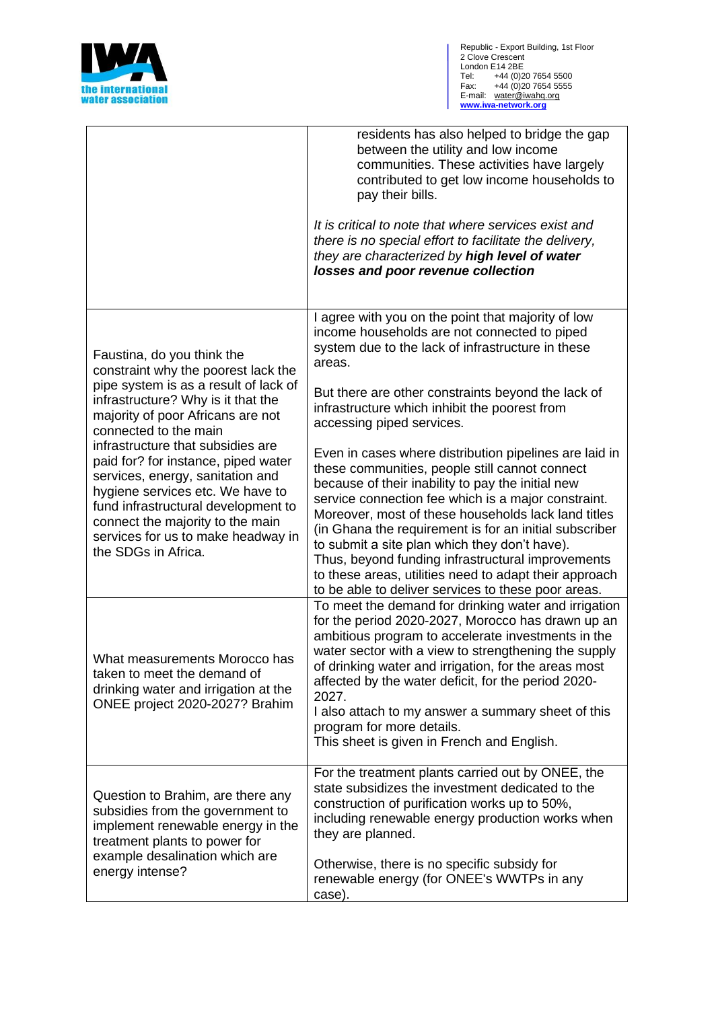

|                                                                                                                                                                                                                                                                                                                                                                                                                                                                                                            | residents has also helped to bridge the gap<br>between the utility and low income<br>communities. These activities have largely<br>contributed to get low income households to<br>pay their bills.<br>It is critical to note that where services exist and<br>there is no special effort to facilitate the delivery,<br>they are characterized by high level of water<br>losses and poor revenue collection                                                                                                                                                  |
|------------------------------------------------------------------------------------------------------------------------------------------------------------------------------------------------------------------------------------------------------------------------------------------------------------------------------------------------------------------------------------------------------------------------------------------------------------------------------------------------------------|--------------------------------------------------------------------------------------------------------------------------------------------------------------------------------------------------------------------------------------------------------------------------------------------------------------------------------------------------------------------------------------------------------------------------------------------------------------------------------------------------------------------------------------------------------------|
| Faustina, do you think the<br>constraint why the poorest lack the<br>pipe system is as a result of lack of<br>infrastructure? Why is it that the<br>majority of poor Africans are not<br>connected to the main<br>infrastructure that subsidies are<br>paid for? for instance, piped water<br>services, energy, sanitation and<br>hygiene services etc. We have to<br>fund infrastructural development to<br>connect the majority to the main<br>services for us to make headway in<br>the SDGs in Africa. | I agree with you on the point that majority of low<br>income households are not connected to piped<br>system due to the lack of infrastructure in these<br>areas.                                                                                                                                                                                                                                                                                                                                                                                            |
|                                                                                                                                                                                                                                                                                                                                                                                                                                                                                                            | But there are other constraints beyond the lack of<br>infrastructure which inhibit the poorest from<br>accessing piped services.                                                                                                                                                                                                                                                                                                                                                                                                                             |
|                                                                                                                                                                                                                                                                                                                                                                                                                                                                                                            | Even in cases where distribution pipelines are laid in<br>these communities, people still cannot connect<br>because of their inability to pay the initial new<br>service connection fee which is a major constraint.<br>Moreover, most of these households lack land titles<br>(in Ghana the requirement is for an initial subscriber<br>to submit a site plan which they don't have).<br>Thus, beyond funding infrastructural improvements<br>to these areas, utilities need to adapt their approach<br>to be able to deliver services to these poor areas. |
| What measurements Morocco has<br>taken to meet the demand of<br>drinking water and irrigation at the<br>ONEE project 2020-2027? Brahim                                                                                                                                                                                                                                                                                                                                                                     | To meet the demand for drinking water and irrigation<br>for the period 2020-2027, Morocco has drawn up an<br>ambitious program to accelerate investments in the<br>water sector with a view to strengthening the supply<br>of drinking water and irrigation, for the areas most<br>affected by the water deficit, for the period 2020-<br>2027.<br>I also attach to my answer a summary sheet of this<br>program for more details.<br>This sheet is given in French and English.                                                                             |
| Question to Brahim, are there any<br>subsidies from the government to<br>implement renewable energy in the<br>treatment plants to power for<br>example desalination which are<br>energy intense?                                                                                                                                                                                                                                                                                                           | For the treatment plants carried out by ONEE, the<br>state subsidizes the investment dedicated to the<br>construction of purification works up to 50%,<br>including renewable energy production works when<br>they are planned.<br>Otherwise, there is no specific subsidy for                                                                                                                                                                                                                                                                               |
|                                                                                                                                                                                                                                                                                                                                                                                                                                                                                                            | renewable energy (for ONEE's WWTPs in any<br>case).                                                                                                                                                                                                                                                                                                                                                                                                                                                                                                          |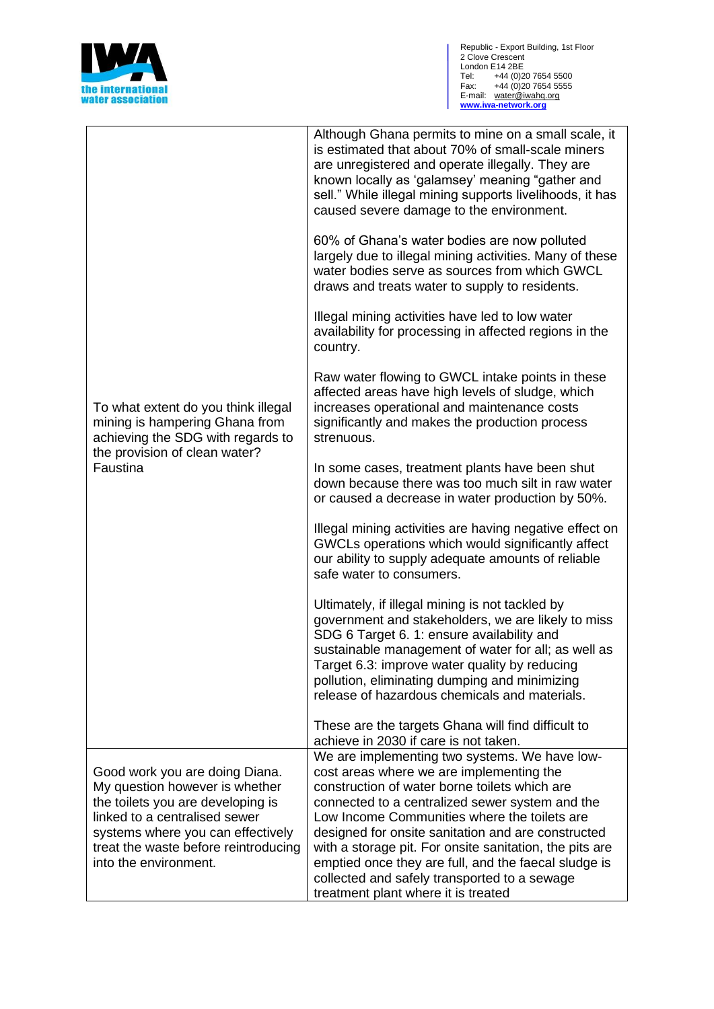

Republic - Export Building, 1st Floor 2 Clove Crescent London E14 2BE Tel: +44 (0)20 7654 5500 Fax: +44 (0)20 7654 5555 E-mail: water@iwahq.org **[www.iwa-network.org](http://www.iwa-network.org/)**

| To what extent do you think illegal<br>mining is hampering Ghana from<br>achieving the SDG with regards to<br>the provision of clean water?<br>Faustina                                                                                      | Although Ghana permits to mine on a small scale, it<br>is estimated that about 70% of small-scale miners<br>are unregistered and operate illegally. They are<br>known locally as 'galamsey' meaning "gather and<br>sell." While illegal mining supports livelihoods, it has                                                                                                                                                                                                                                   |
|----------------------------------------------------------------------------------------------------------------------------------------------------------------------------------------------------------------------------------------------|---------------------------------------------------------------------------------------------------------------------------------------------------------------------------------------------------------------------------------------------------------------------------------------------------------------------------------------------------------------------------------------------------------------------------------------------------------------------------------------------------------------|
|                                                                                                                                                                                                                                              | caused severe damage to the environment.<br>60% of Ghana's water bodies are now polluted<br>largely due to illegal mining activities. Many of these<br>water bodies serve as sources from which GWCL<br>draws and treats water to supply to residents.                                                                                                                                                                                                                                                        |
|                                                                                                                                                                                                                                              | Illegal mining activities have led to low water<br>availability for processing in affected regions in the<br>country.                                                                                                                                                                                                                                                                                                                                                                                         |
|                                                                                                                                                                                                                                              | Raw water flowing to GWCL intake points in these<br>affected areas have high levels of sludge, which<br>increases operational and maintenance costs<br>significantly and makes the production process<br>strenuous.                                                                                                                                                                                                                                                                                           |
|                                                                                                                                                                                                                                              | In some cases, treatment plants have been shut<br>down because there was too much silt in raw water<br>or caused a decrease in water production by 50%.                                                                                                                                                                                                                                                                                                                                                       |
|                                                                                                                                                                                                                                              | Illegal mining activities are having negative effect on<br>GWCLs operations which would significantly affect<br>our ability to supply adequate amounts of reliable<br>safe water to consumers.                                                                                                                                                                                                                                                                                                                |
|                                                                                                                                                                                                                                              | Ultimately, if illegal mining is not tackled by<br>government and stakeholders, we are likely to miss<br>SDG 6 Target 6. 1: ensure availability and<br>sustainable management of water for all; as well as<br>Target 6.3: improve water quality by reducing<br>pollution, eliminating dumping and minimizing<br>release of hazardous chemicals and materials.                                                                                                                                                 |
|                                                                                                                                                                                                                                              | These are the targets Ghana will find difficult to<br>achieve in 2030 if care is not taken.                                                                                                                                                                                                                                                                                                                                                                                                                   |
| Good work you are doing Diana.<br>My question however is whether<br>the toilets you are developing is<br>linked to a centralised sewer<br>systems where you can effectively<br>treat the waste before reintroducing<br>into the environment. | We are implementing two systems. We have low-<br>cost areas where we are implementing the<br>construction of water borne toilets which are<br>connected to a centralized sewer system and the<br>Low Income Communities where the toilets are<br>designed for onsite sanitation and are constructed<br>with a storage pit. For onsite sanitation, the pits are<br>emptied once they are full, and the faecal sludge is<br>collected and safely transported to a sewage<br>treatment plant where it is treated |